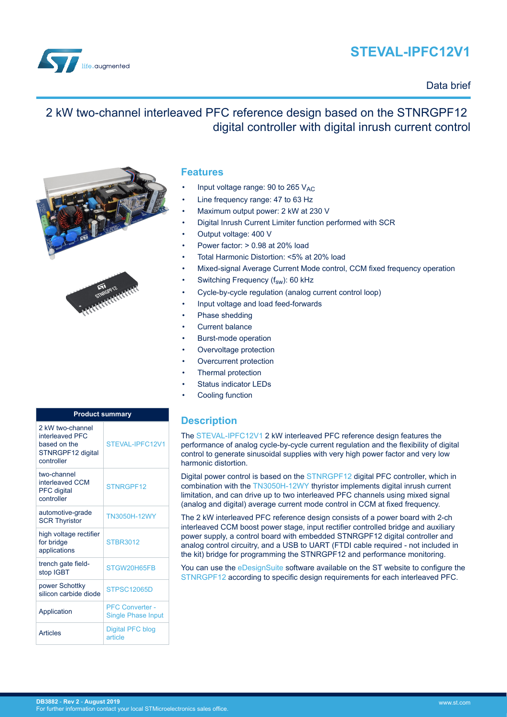# **STEVAL-IPFC12V1**

<span id="page-0-0"></span>

### Data brief

# 2 kW two-channel interleaved PFC reference design based on the STNRGPF12 digital controller with digital inrush current control



| <b>Product summary</b>                                                                 |                                                     |  |
|----------------------------------------------------------------------------------------|-----------------------------------------------------|--|
| 2 kW two-channel<br>interleaved PFC<br>based on the<br>STNRGPF12 digital<br>controller | STEVAL-IPEC12V1                                     |  |
| two-channel<br>interleaved CCM<br><b>PFC</b> digital<br>controller                     | STNRGPF12                                           |  |
| automotive-grade<br><b>SCR Thyristor</b>                                               | <b>TN3050H-12WY</b>                                 |  |
| high voltage rectifier<br>for bridge<br>applications                                   | <b>STBR3012</b>                                     |  |
| trench gate field-<br>stop IGBT                                                        | STGW20H65FB                                         |  |
| power Schottky<br>silicon carbide diode                                                | <b>STPSC12065D</b>                                  |  |
| Application                                                                            | <b>PFC Converter -</b><br><b>Single Phase Input</b> |  |
| <b>Articles</b>                                                                        | Digital PFC blog<br>article                         |  |

### **Features**

- Input voltage range: 90 to 265  $V_{AC}$
- Line frequency range: 47 to 63 Hz
- Maximum output power: 2 kW at 230 V
- Digital Inrush Current Limiter function performed with SCR
	- Output voltage: 400 V
- Power factor: > 0.98 at 20% load
- Total Harmonic Distortion: <5% at 20% load
- Mixed-signal Average Current Mode control, CCM fixed frequency operation
- Switching Frequency (f<sub>sw</sub>): 60 kHz
- Cycle-by-cycle regulation (analog current control loop)
- Input voltage and load feed-forwards
- Phase shedding
- **Current balance**
- Burst-mode operation
- Overvoltage protection
- Overcurrent protection
- Thermal protection
- Status indicator LEDs
- Cooling function

### **Description**

The [STEVAL-IPFC12V1](https://www.st.com/en/product/steval-ipfc12v1) 2 kW interleaved PFC reference design features the performance of analog cycle-by-cycle current regulation and the flexibility of digital control to generate sinusoidal supplies with very high power factor and very low harmonic distortion.

Digital power control is based on the [STNRGPF12](https://www.st.com/en/product/stnrgpf12) digital PFC controller, which in combination with the [TN3050H-12WY](https://www.st.com/en/product/tn3050h-12wy) thyristor implements digital inrush current limitation, and can drive up to two interleaved PFC channels using mixed signal (analog and digital) average current mode control in CCM at fixed frequency.

The 2 kW interleaved PFC reference design consists of a power board with 2-ch interleaved CCM boost power stage, input rectifier controlled bridge and auxiliary power supply, a control board with embedded STNRGPF12 digital controller and analog control circuitry, and a USB to UART (FTDI cable required - not included in the kit) bridge for programming the STNRGPF12 and performance monitoring.

You can use the [eDesignSuite](http://www.st.com/edesignsuite) software available on the ST website to configure the [STNRGPF12](https://www.st.com/en/product/stnrgpf12) according to specific design requirements for each interleaved PFC.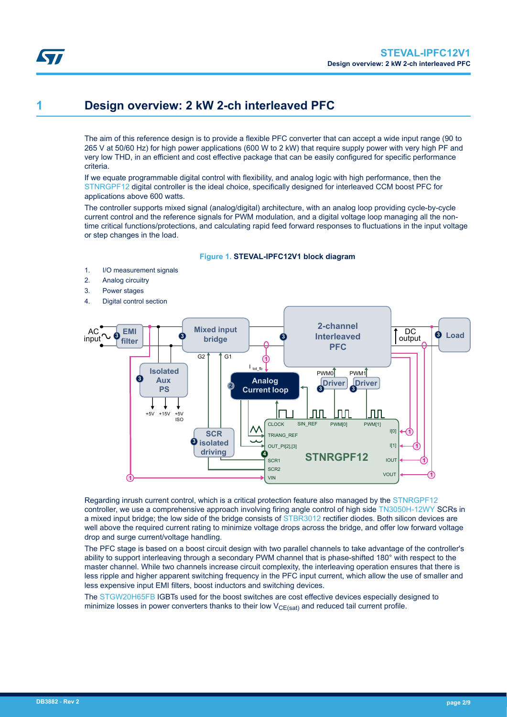<span id="page-1-0"></span>

# **1 Design overview: 2 kW 2-ch interleaved PFC**

The aim of this reference design is to provide a flexible PFC converter that can accept a wide input range (90 to 265 V at 50/60 Hz) for high power applications (600 W to 2 kW) that require supply power with very high PF and very low THD, in an efficient and cost effective package that can be easily configured for specific performance criteria.

If we equate programmable digital control with flexibility, and analog logic with high performance, then the [STNRGPF12](https://www.st.com/en/product/stnrgpf12) digital controller is the ideal choice, specifically designed for interleaved CCM boost PFC for applications above 600 watts.

The controller supports mixed signal (analog/digital) architecture, with an analog loop providing cycle-by-cycle current control and the reference signals for PWM modulation, and a digital voltage loop managing all the nontime critical functions/protections, and calculating rapid feed forward responses to fluctuations in the input voltage or step changes in the load.

### **Figure 1. STEVAL-IPFC12V1 block diagram**

- 1. I/O measurement signals
- 2. Analog circuitry
- 3. Power stages
- 4. Digital control section



Regarding inrush current control, which is a critical protection feature also managed by the [STNRGPF12](https://www.st.com/en/product/stnrgpf12) controller, we use a comprehensive approach involving firing angle control of high side [TN3050H-12WY](https://www.st.com/en/product/tn3050h-12wy) SCRs in a mixed input bridge; the low side of the bridge consists of [STBR3012](https://www.st.com/en/product/stbr3012) rectifier diodes. Both silicon devices are well above the required current rating to minimize voltage drops across the bridge, and offer low forward voltage drop and surge current/voltage handling.

The PFC stage is based on a boost circuit design with two parallel channels to take advantage of the controller's ability to support interleaving through a secondary PWM channel that is phase-shifted 180° with respect to the master channel. While two channels increase circuit complexity, the interleaving operation ensures that there is less ripple and higher apparent switching frequency in the PFC input current, which allow the use of smaller and less expensive input EMI filters, boost inductors and switching devices.

The [STGW20H65FB](https://www.st.com/en/product/stgw20h65fb) IGBTs used for the boost switches are cost effective devices especially designed to minimize losses in power converters thanks to their low  $V_{CE(sat)}$  and reduced tail current profile.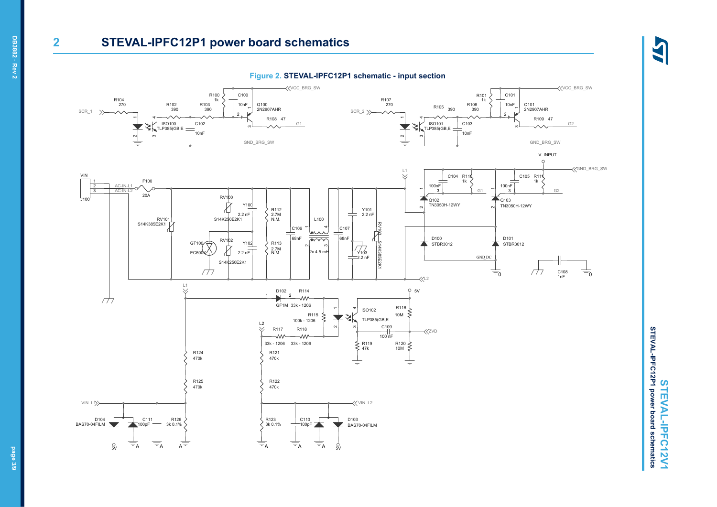### **2 STEVAL-IPFC12P1 power board schematics**

**Figure 2. STEVAL-IPFC12P1 schematic - input section**



STEVAL-IPFC12P1 power board schematics **STEVAL-IPFC12P1 power board schematics** STEVAL-IPFC12V1 **STEVAL-IPFC12V1**

45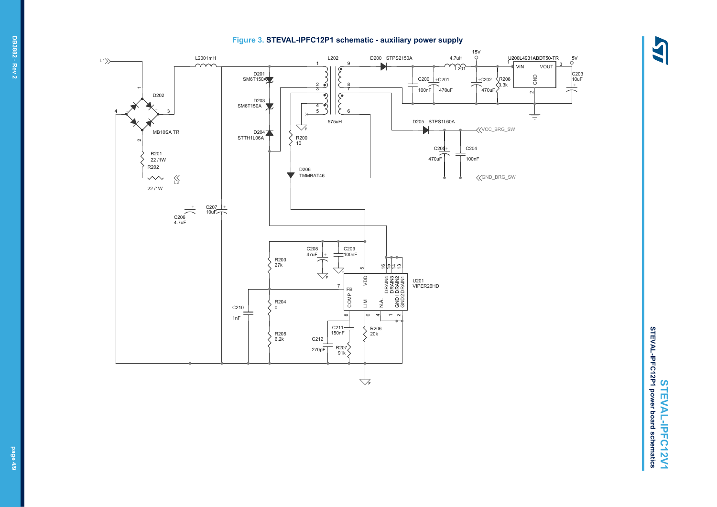#### **Figure 3. STEVAL-IPFC12P1 schematic - auxiliary power supply**



 $\frac{1}{\sqrt{2}}$ C203 10uF

3



STEVAL-IPFC12P1 power board schematics **STEVAL-IPFC12P1 power board schematics** STEVAL-IPFC12V1 **STEVAL-IPFC12V1**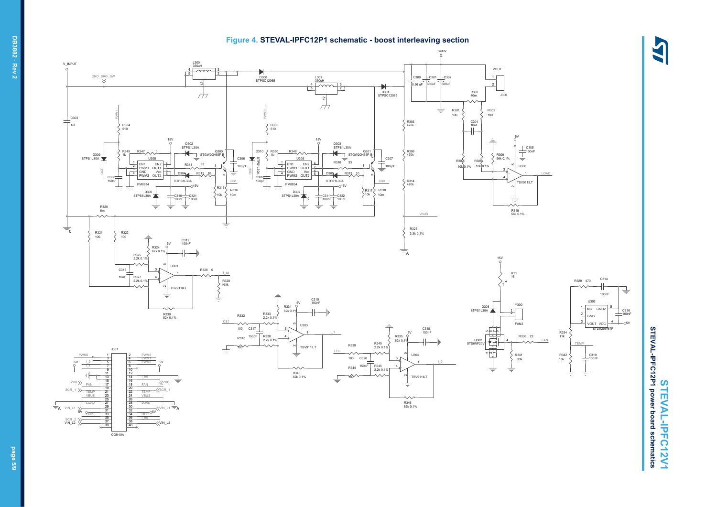

#### $^{+400}$ V\_INPUT L300<br><u>350uH</u> VOUT 4  $GND\_BRG\_SW$ 5 2 C300  $+C301$   $+C302$ D300 STPSC12065 L301 350uH 1  $\sim$ 680uF 680uF 0.56 uF  $\frac{4}{5}$ 2 3 5 2  $\overline{\mathcal{L}}$ D301 STPSC12065 R300 40m J300 12  $\sim$  $\overline{\mathcal{A}}$  $\Rightarrow$ R302 R301 100  $R320$ PS1L30A<br>
PS1L30A<br>
PS1L30A<br>
PS1L30A<br>
PS1L30A<br>
PS1L30A<br>
CORP PS1L30A<br>
CORP PS1L30A<br>
CORP PS1L30A<br>
CORP PS1L30A<br>
CORP PMM2<br>
PMMC PMM2<br>
PR325<br>
CORP PMM2<br>
PR326<br>
CORP PMM2<br>
PR326<br>
CORP PMM2<br>
PR326<br>
CORP PMM2<br>
PR326<br>
COR PWM0 100 C303 ╛ –<br>1uF R303 470k C304 10nF R304 510 R305 510 5V 15V 15V D303<br>STPS1L30A D302 STPS1L30A C<sub>305</sub> STPS1L30A D<sub>310</sub> R350  $100n$ R349  $R347 \wedge 0$ Q300<br>STGW20H65F B R348 STGW20H65F B R306 470k D309 STPS1L30A 1k 1k R309 56k 0.1% U305 C306 U306 C307 ุก STPS1L30A R308 R307<br>10k 0.1% R311 33  $\overline{\underline{\top}}$ 100 pF 1 1 R310 33  $\frac{2}{3}$  PWM1 OUT1<br>4 GND Vcc 6<br>4 GND Vcc 6  $\frac{2}{3}$  PWM1 OUT1  $\frac{1}{3}$ <br> $\frac{4}{3}$  GND Vcc  $\frac{6}{5}$ 100 pF 10k 0.1%  $1300$ 1 1 47 ä ö ond<br>PWM2 OUT D304 R312 10 D305 R313 10 + LOAD 9 9 C308 150pF STPS1L30A C309 STPS1L30A 4 .<br>TSV911IL<sup>-</sup> CS1 150pF CS0 R314 470k PM8834 PM8834  $-15$ 15V  $\ddot{\phantom{1}}$ R315 R316 R317 R318 10m  $STPS1L30A \rightarrow C310$  $10m$ D307 STPS1L30A 10k C321 10k C311 100nF C322 100nF  $\pm$ 0 100nF 100nF  $\Rightarrow$  $\pm$ R320 6m R319 56k 0.1% VBUS ╧  $\equiv$ R323 3.3k 0.1% R321 100 R322 100 C312 100nF 5V R324 ÷. 82k 0.1% R325 2.2k 0.1%  $\frac{15V}{\circ}$ U30 C313 5R326 0 3 + I\_tot RT1 16 10nF C314 R327 2.2k 0.1% 4 - R329 470 R328 N.M. t TSV911ILT  $\sim$ 100nF  $\overline{\div}$ U302 C315 100nF 5V Y300 R331 5 D308 STPS1L30A  $1$  NC GND2  $62k$ 긬 R333<br>2.2k 0.1% R333 2 = 2 R332 2 GND R330 82k 0.1% CS1 FAN<sub>2</sub> vout vcc  $\frac{4}{3}$  $\sim$  $\wedge \wedge$ U303 5CTLM20M97 100 C317 3 C318 100nF I\_1 47 6r 8+ 1 5V R334 11k 150pF R335 R336 22 R337 R338 2.2k 0.1% 4 -  $62k<sub>0</sub>$ FAN Q302 STS6NF20V 栖 4 R339 R340 2.2k 0.1% TEMP TSV911ILT J301  $\sim$ 100 CS0 ÷  $n \sim$ PWM0 1 2 PWM0 1 U304 R341 33k R342 10k C319 100nF 3 4 PWM1 100 C320 I\_0 I\_0 5V LO 5 | 6 PWMO 5V 5 6 + R344 I\_1 7 8 R345 2.2k 0.1% 150pF 4 ┙ 9 10 ₹  $\Rightarrow$ 11 12 R343 62k 0.1% TSV911ILT ₽ 13 14 I\_tot  $\sim$ 100 15 16 ZVD ZVD  $\equiv$ 17 18 FAN FAN 19 20 SCR\_1 SCR\_1 21 22 TEMP 21 | 22 TEMP VBUS 23 | 24 VBUS 23 24  $\sim$ 25 26 LOAD LOAD 27 28 R346 62k 0.1% 29 30 A  $VIN_L1$   $\searrow$   $\frac{29}{24}$   $\frac{90}{20}$   $\swarrow$   $\sqrt{VIN_L11}$ A 31 32  $5V \, \text{O}_{\overline{0.000}} \, 31$   $34 \, \text{O}_{\overline{0.000}} \, \text{O}5V$ 33 34 35 36 I\_tot  $\begin{array}{c}\n\text{SCR}_2 \rightarrow \text{S} \\
\text{VIN}_L 2 \rightarrow \text{S} \\
\end{array}$ 37 38 39 40

**Figure 4. STEVAL-IPFC12P1 schematic - boost interleaving section**

LAS

 $-6$ 

C316 100nF

 $\pm$ 

CON40A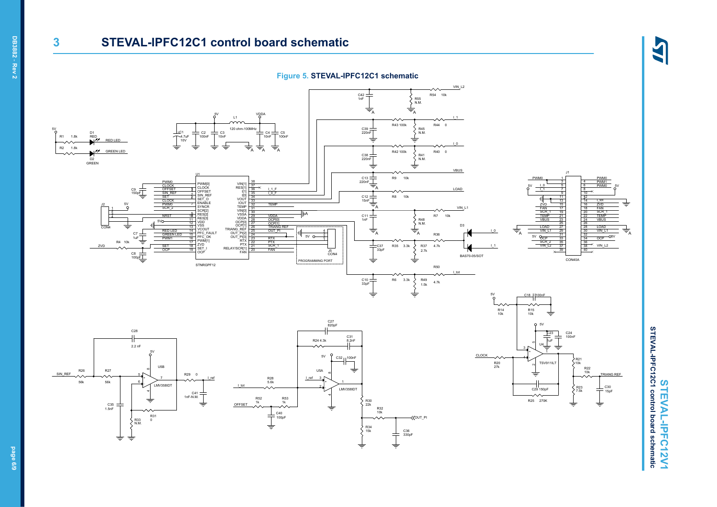# **3 STEVAL-IPFC12C1 control board schematic**

LAS

**STEVAL-IPFC12V1**

STEVAL-IPFC12V1

**STEVAL-IPFC12C1 control board schematic** 



**DB3882** - **Rev 2**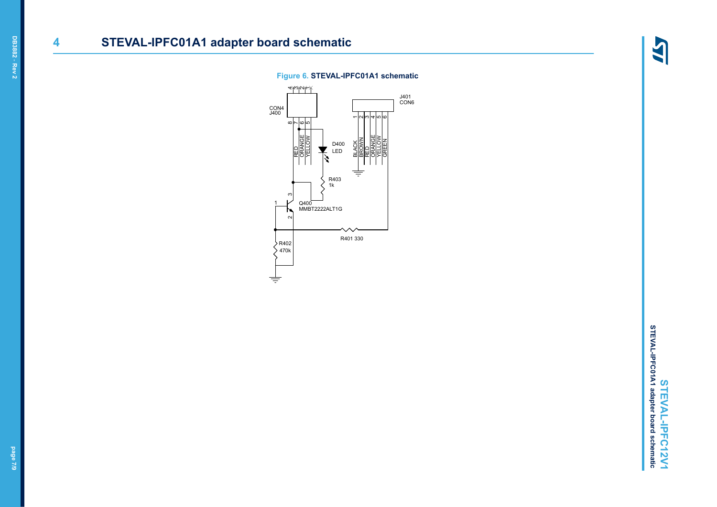# **4 STEVAL-IPFC01A1 adapter board schematic**

4

### **Figure 6. STEVAL-IPFC01A1 schematic**

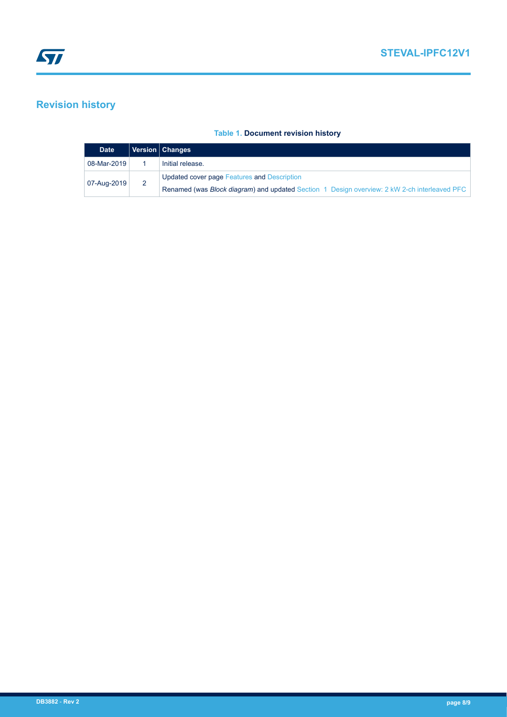# **Revision history**

### **Table 1. Document revision history**

| <b>Date</b> |  | Version   Changes                                                                                    |
|-------------|--|------------------------------------------------------------------------------------------------------|
| 08-Mar-2019 |  | Initial release.                                                                                     |
| 07-Aug-2019 |  | Updated cover page Features and Description                                                          |
|             |  | Renamed (was <i>Block diagram</i> ) and updated Section 1 Design overview: 2 kW 2-ch interleaved PFC |